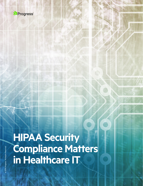

# **HIPAA Security Compliance Matters in Healthcare IT**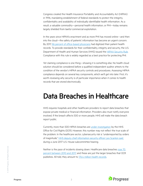Congress created the Health Insurance Portability and Accountability Act (HIPAA) in 1996, mandating establishment of federal standards to protect the integrity, confidentiality and availability of individually identifiable health information. As a result, a valuable commodity—personal health information, or PHI—today remains largely shielded from lawful commercial exploitation.

In the years since HIPAA's enactment and as more PHI has moved online—and then into the cloud—the safety of patients' information has become an urgent concern. By 2017, [86 percent of office-based physicians](https://dashboard.healthit.gov/quickstats/quickstats.php) had digitized their patient health records. To provide standards for their confidentiality, integrity and security, the U.S. Department of Health and Human Services (HHS) issued the **HIPAA Security Rule**. Compliance with this rule is widely regarded as a best practice for protecting PHI.

Yet claiming compliance is one thing—showing it is something else. No health cloud solution should be considered before a qualified independent auditor attests to the condition of the vendor's HIPAA security controls and procedures. Assessing HIPAA compliance depends on several key components, which we'll get into later. First, it's worth reviewing why security is of particular importance when it comes to health records that are stored electronically.

#### Data Breaches in Healthcare

HHS requires hospitals and other healthcare providers to report data breaches that expose private medical or financial information. Providers also must notify everyone involved. If the breach affects 500 or more people, HHS will make the data breach report public.

Currently, more than 500 HIPAA breaches are [under investigation](https://ocrportal.hhs.gov/ocr/breach/breach_report.jsf) by the HHS Office for Civil Rights (OCR). However, this number may not reflect the true scale of the problem. In the healthcare sector, cybersecurity risk is "underreported by orders of magnitude," HHS deputy chief information security officer Leo Scanlon said during a June 2017 U.S. House subcommittee hearing.

Neither is the pace of incidents slowing down. Healthcare data breaches [rose 70](https://www.hipaajournal.com/study-reveals-70-increase-in-healthcare-data-breaches-between-2010-and-2017/)  [percent between 2010 and 2017](https://www.hipaajournal.com/study-reveals-70-increase-in-healthcare-data-breaches-between-2010-and-2017/), and these are just the larger breaches that OCR publishes. All told, they amount to [176.4 million health records.](https://www.forbes.com/sites/michelatindera/2018/09/25/government-data-says-millions-of-health-records-are-breached-every-year/#1686ef1616e6)

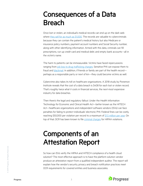#### Consequences of a Data Breach

Once lost or stolen, an individual's medical records can end up on the dark web where [they sell for as much as \\$1,000.](https://www.experian.com/blogs/ask-experian/heres-how-much-your-personal-information-is-selling-for-on-the-dark-web/) The records are valuable to cybercriminals because they can contain the patient's medical history but also Medicare or insurance policy numbers, payment account numbers and Social Security number, along with other identifying information. Armed with this data, criminals can fill prescriptions, run up credit card and medical debt, and empty bank accounts—all in the victim's name.

The harm to patients can be immeasurable. Victims have faced repercussions ranging from [job loss to drug trafficking charges](https://www.experian.com/blogs/ask-experian/healthcare-data-breach-what-to-know-about-them-and-what-to-do-after-one/). Sensitive PHI can expose them to fraud and [blackmail.](https://www.continuumofcarenews.com/blog/fbi-hackers-targeting-health-information-use-blackmail) In addition, if friends or family are part of the health record perhaps as a responsible party or next of kin—they could become victims as well.

Cybercrime also takes its toll on healthcare organizations. A 2018 study by Ponemon Institute reveals that the cost of a data breach is \$408 for each lost or stolen record. That's roughly twice what it costs in financial services, the next-most expensive industry for data breaches.

Then there's the legal and regulatory fallout. Under the Health Information Technology for Economic and Clinical Health Act—better known as the HITECH Act—healthcare organizations and independent software vendors (ISVs) can face penalties for failing to protect individuals' electronic PHI. Federal fines can be costly, reaching \$50,000 per violation per record to a maximum of [\\$1.5 million per year.](https://www.cmhealthlaw.com/2019/05/hipaa-spring-cleaning-tidying-up-penalty-limits-and-faqs-on-patients-right-of-access/) On top of that, OCR has been known to file [criminal charges](https://www.cmhealthlaw.com/2019/05/hipaa-spring-cleaning-tidying-up-penalty-limits-and-faqs-on-patients-right-of-access/) for HIPAA violations.

## Components of an Attestation Report

So how can ISVs verify the HIPAA and HITECH compliance of a health cloud solution? The most effective approach is to have the platform solution vendor produce an attestation report from a qualified independent auditor. The report will explain how the vendor's security, privacy and breach notification practices meet OCR requirements for covered entities and business associates.

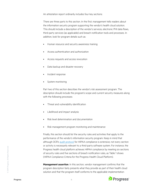An attestation report ordinarily includes four key sections:

There are three parts to this section. In the first, management tells readers about the information security program supporting the vendor's health cloud solution. This should include a description of the vendor's services, electronic PHI data flows, third-party services (as applicable) and breach notification tools and processes. In addition, look for program details such as:

- Human resource and security awareness training
- Access authentication and authorization
- Access requests and access revocation
- Data backup and disaster recovery
- Incident response
- System monitoring

Part two of this section describes the vendor's risk assessment program. The description should include the program's scope and current security measures along with the following processes:

- Threat and vulnerability identification
- Likelihood and impact analysis
- Risk level determination and documentation
- Risk management program monitoring and maintenance

Finally, this section should list the security rules and activities that apply to the performance of the vendor's information security program. Keep in mind that although OCR's [audit protocol](https://www.hhs.gov/hipaa/for-professionals/compliance-enforcement/audit/protocol/index.html) for HIPAA compliance is extensive, not every section or activity is necessarily relevant to a third-party software system. For instance, the Progress health cloud platform achieves HIPAA compliance by meeting six sections of security rules and five sections of breach notification rules, as Table 1 shows (HIPAA Compliance Criteria for the Progress Health Cloud Platform).

**Management assertion**. In this section, vendor management confirms that the program description fairly presents what they provide as part of their health cloud solution and that the program itself conforms to the applicable implementation

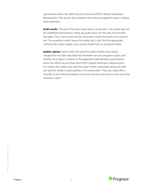specifications within the HIPAA Security Rule and HITECH Breach Notification Requirements. This section also should list the criteria management used in making these assertions.

**Audit results**. This part of the report gets down to brass tacks. The auditor lays out the established performance criteria and audit inquiry for the rules and activities that apply. Then, next to each activity, the auditor reveals the results of its controls test. "No exceptions noted" means the auditor did, in fact, find the appropriate control to be in place. Ideally, every control should have no exceptions noted.

**Auditor opinion**. Here's where the audit firm states whether they believe management has fairly described the information security program in place, and whether the program conforms to the applicable implementation specifications within the HIPAA Security Rule and HITECH Breach Notification Requirements. For context, the auditor may state the scope of their examination along with their own and the vendor's responsibilities in the examination. They also might offer a reminder of the inherent limitations of controls and any restrictions on the use of the attestation report.



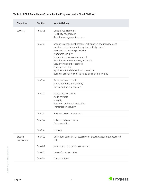#### **Table 1. HIPAA Compliance Criteria for the Progress Health Cloud Platform**

| <b>Objective</b>              | <b>Section</b> | <b>Key Activities</b>                                                                                                                                                                                                                                                                                                                                                                                            |
|-------------------------------|----------------|------------------------------------------------------------------------------------------------------------------------------------------------------------------------------------------------------------------------------------------------------------------------------------------------------------------------------------------------------------------------------------------------------------------|
| Security                      | 164.306        | General requirements<br>Flexibility of approach<br>Security management process                                                                                                                                                                                                                                                                                                                                   |
|                               | 164.308        | Security management process (risk analysis and management,<br>sanction policy, information system activity review)<br>Assigned security responsibility<br>Workforce security<br>Information access management<br>Security awareness, training and tools<br>Security incident procedures<br>Contingency plan<br>Applications and data criticality analysis<br>Business associate contracts and other arrangements |
|                               | 164.310        | Facility access controls<br>Workstation use and security<br>Device and medial controls                                                                                                                                                                                                                                                                                                                           |
|                               | 164.312        | System access control<br>Audit controls<br>Integrity<br>Person or entity authentication<br>Transmission security                                                                                                                                                                                                                                                                                                 |
|                               | 164.314        | Business associate contracts                                                                                                                                                                                                                                                                                                                                                                                     |
|                               | 164.316        | Policies and procedures<br>Documentation                                                                                                                                                                                                                                                                                                                                                                         |
|                               | 164.530        | Training                                                                                                                                                                                                                                                                                                                                                                                                         |
| <b>Breach</b><br>Notification | 164.402        | Definitions (breach risk assessment, breach exceptions, unsecured<br>PHI)                                                                                                                                                                                                                                                                                                                                        |
|                               | 164.410        | Notification by a business associate                                                                                                                                                                                                                                                                                                                                                                             |
|                               | 164.412        | Law enforcement delay                                                                                                                                                                                                                                                                                                                                                                                            |
|                               | 164.414        | Burden of proof                                                                                                                                                                                                                                                                                                                                                                                                  |